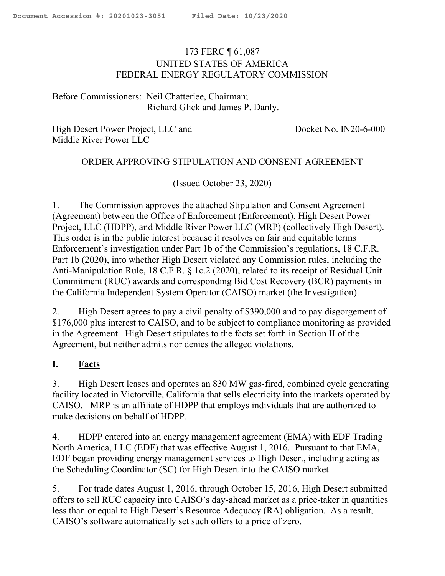## <span id="page-0-0"></span>173 FERC ¶ 61,087 UNITED STATES OF AMERICA FEDERAL ENERGY REGULATORY COMMISSION

Before Commissioners: Neil Chatterjee, Chairman; Richard Glick and James P. Danly.

High Desert Power Project, LLC and Docket No. IN20-6-000 Middle River Power LLC

#### ORDER APPROVING STIPULATION AND CONSENT AGREEMENT

(Issued October 23, 2020)

1. The Commission approves the attached Stipulation and Consent Agreement (Agreement) between the Office of Enforcement (Enforcement), High Desert Power Project, LLC (HDPP), and Middle River Power LLC (MRP) (collectively High Desert). This order is in the public interest because it resolves on fair and equitable terms Enforcement's investigation under Part 1b of the Commission's regulations, 18 C.F.R. Part 1b (2020), into whether High Desert violated any Commission rules, including the Anti-Manipulation Rule, 18 C.F.R. § 1c.2 (2020), related to its receipt of Residual Unit Commitment (RUC) awards and corresponding Bid Cost Recovery (BCR) payments in the California Independent System Operator (CAISO) market (the Investigation).

2. High Desert agrees to pay a civil penalty of \$390,000 and to pay disgorgement of \$176,000 plus interest to CAISO, and to be subject to compliance monitoring as provided in the Agreement. High Desert stipulates to the facts set forth in Section II of the Agreement, but neither admits nor denies the alleged violations.

#### **I. Facts**

3. High Desert leases and operates an 830 MW gas-fired, combined cycle generating facility located in Victorville, California that sells electricity into the markets operated by CAISO. MRP is an affiliate of HDPP that employs individuals that are authorized to make decisions on behalf of HDPP.

4. HDPP entered into an energy management agreement (EMA) with EDF Trading North America, LLC (EDF) that was effective August 1, 2016. Pursuant to that EMA, EDF began providing energy management services to High Desert, including acting as the Scheduling Coordinator (SC) for High Desert into the CAISO market.

5. For trade dates August 1, 2016, through October 15, 2016, High Desert submitted offers to sell RUC capacity into CAISO's day-ahead market as a price-taker in quantities less than or equal to High Desert's Resource Adequacy (RA) obligation. As a result, CAISO's software automatically set such offers to a price of zero.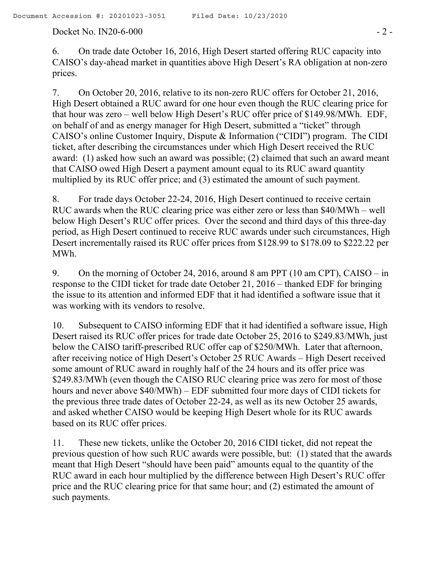#### Docket No. IN20-6-000 - 2 -

6. On trade date October 16, 2016, High Desert started offering RUC capacity into CAISO's day-ahead market in quantities above High Desert's RA obligation at non-zero prices.

7. On October 20, 2016, relative to its non-zero RUC offers for October 21, 2016, High Desert obtained a RUC award for one hour even though the RUC clearing price for that hour was zero – well below High Desert's RUC offer price of \$149.98/MWh. EDF, on behalf of and as energy manager for High Desert, submitted a "ticket" through CAISO's online Customer Inquiry, Dispute & Information ("CIDI") program. The CIDI ticket, after describing the circumstances under which High Desert received the RUC award: (1) asked how such an award was possible; (2) claimed that such an award meant that CAISO owed High Desert a payment amount equal to its RUC award quantity multiplied by its RUC offer price; and (3) estimated the amount of such payment.

8. For trade days October 22-24, 2016, High Desert continued to receive certain RUC awards when the RUC clearing price was either zero or less than \$40/MWh – well below High Desert's RUC offer prices. Over the second and third days of this three-day period, as High Desert continued to receive RUC awards under such circumstances, High Desert incrementally raised its RUC offer prices from \$128.99 to \$178.09 to \$222.22 per MWh.

9. On the morning of October 24, 2016, around 8 am PPT (10 am CPT), CAISO – in response to the CIDI ticket for trade date October 21, 2016 – thanked EDF for bringing the issue to its attention and informed EDF that it had identified a software issue that it was working with its vendors to resolve.

10. Subsequent to CAISO informing EDF that it had identified a software issue, High Desert raised its RUC offer prices for trade date October 25, 2016 to \$249.83/MWh, just below the CAISO tariff-prescribed RUC offer cap of \$250/MWh. Later that afternoon, after receiving notice of High Desert's October 25 RUC Awards – High Desert received some amount of RUC award in roughly half of the 24 hours and its offer price was \$249.83/MWh (even though the CAISO RUC clearing price was zero for most of those hours and never above \$40/MWh) – EDF submitted four more days of CIDI tickets for the previous three trade dates of October 22-24, as well as its new October 25 awards, and asked whether CAISO would be keeping High Desert whole for its RUC awards based on its RUC offer prices.

11. These new tickets, unlike the October 20, 2016 CIDI ticket, did not repeat the previous question of how such RUC awards were possible, but: (1) stated that the awards meant that High Desert "should have been paid" amounts equal to the quantity of the RUC award in each hour multiplied by the difference between High Desert's RUC offer price and the RUC clearing price for that same hour; and (2) estimated the amount of such payments.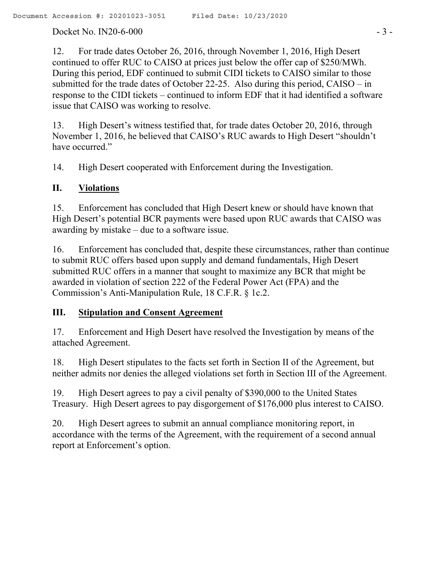Docket No. IN20-6-000 - 3 -

12. For trade dates October 26, 2016, through November 1, 2016, High Desert continued to offer RUC to CAISO at prices just below the offer cap of \$250/MWh. During this period, EDF continued to submit CIDI tickets to CAISO similar to those submitted for the trade dates of October 22-25. Also during this period, CAISO – in response to the CIDI tickets – continued to inform EDF that it had identified a software issue that CAISO was working to resolve.

13. High Desert's witness testified that, for trade dates October 20, 2016, through November 1, 2016, he believed that CAISO's RUC awards to High Desert "shouldn't have occurred."

14. High Desert cooperated with Enforcement during the Investigation.

## **II. Violations**

15. Enforcement has concluded that High Desert knew or should have known that High Desert's potential BCR payments were based upon RUC awards that CAISO was awarding by mistake – due to a software issue.

16. Enforcement has concluded that, despite these circumstances, rather than continue to submit RUC offers based upon supply and demand fundamentals, High Desert submitted RUC offers in a manner that sought to maximize any BCR that might be awarded in violation of section 222 of the Federal Power Act (FPA) and the Commission's Anti-Manipulation Rule, 18 C.F.R. § 1c.2.

## **III. Stipulation and Consent Agreement**

17. Enforcement and High Desert have resolved the Investigation by means of the attached Agreement.

18. High Desert stipulates to the facts set forth in Section II of the Agreement, but neither admits nor denies the alleged violations set forth in Section III of the Agreement.

19. High Desert agrees to pay a civil penalty of \$390,000 to the United States Treasury. High Desert agrees to pay disgorgement of \$176,000 plus interest to CAISO.

20. High Desert agrees to submit an annual compliance monitoring report, in accordance with the terms of the Agreement, with the requirement of a second annual report at Enforcement's option.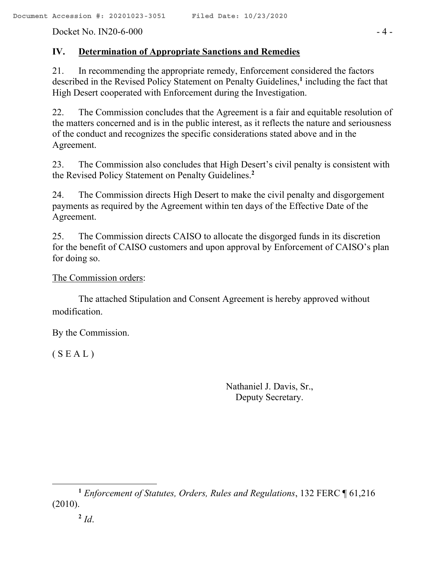Docket No. IN20-6-000 - 4 -

## **IV. Determination of Appropriate Sanctions and Remedies**

21. In recommending the appropriate remedy, Enforcement considered the factors described in the Revised Policy Statement on Penalty Guidelines,**<sup>1</sup>** including the fact that High Desert cooperated with Enforcement during the Investigation.

22. The Commission concludes that the Agreement is a fair and equitable resolution of the matters concerned and is in the public interest, as it reflects the nature and seriousness of the conduct and recognizes the specific considerations stated above and in the Agreement.

23. The Commission also concludes that High Desert's civil penalty is consistent with the Revised Policy Statement on Penalty Guidelines.**<sup>2</sup>**

24. The Commission directs High Desert to make the civil penalty and disgorgement payments as required by the Agreement within ten days of the Effective Date of the Agreement.

25. The Commission directs CAISO to allocate the disgorged funds in its discretion for the benefit of CAISO customers and upon approval by Enforcement of CAISO's plan for doing so.

The Commission orders:

The attached Stipulation and Consent Agreement is hereby approved without modification.

By the Commission.

 $(S E A L)$ 

Nathaniel J. Davis, Sr., Deputy Secretary.

 $\overline{\phantom{a}}$ **<sup>1</sup>** *Enforcement of Statutes, Orders, Rules and Regulations*, 132 FERC ¶ 61,216 (2010).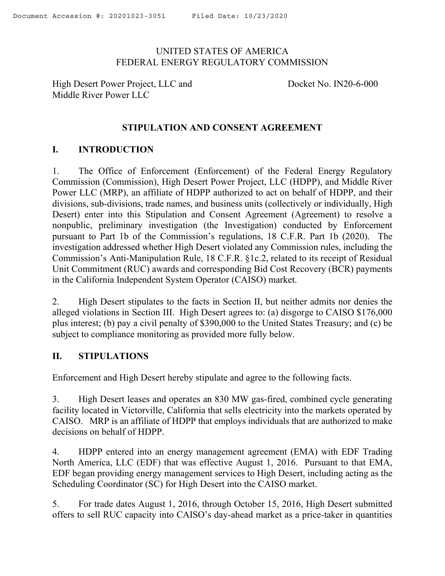### UNITED STATES OF AMERICA FEDERAL ENERGY REGULATORY COMMISSION

High Desert Power Project, LLC and Docket No. IN20-6-000 Middle River Power LLC

### **STIPULATION AND CONSENT AGREEMENT**

## **I. INTRODUCTION**

1. The Office of Enforcement (Enforcement) of the Federal Energy Regulatory Commission (Commission), High Desert Power Project, LLC (HDPP), and Middle River Power LLC (MRP), an affiliate of HDPP authorized to act on behalf of HDPP, and their divisions, sub-divisions, trade names, and business units (collectively or individually, High Desert) enter into this Stipulation and Consent Agreement (Agreement) to resolve a nonpublic, preliminary investigation (the Investigation) conducted by Enforcement pursuant to Part 1b of the Commission's regulations, 18 C.F.R. Part 1b (2020). The investigation addressed whether High Desert violated any Commission rules, including the Commission's Anti-Manipulation Rule, 18 C.F.R. §1c.2, related to its receipt of Residual Unit Commitment (RUC) awards and corresponding Bid Cost Recovery (BCR) payments in the California Independent System Operator (CAISO) market.

2. High Desert stipulates to the facts in Section II, but neither admits nor denies the alleged violations in Section III. High Desert agrees to: (a) disgorge to CAISO \$176,000 plus interest; (b) pay a civil penalty of \$390,000 to the United States Treasury; and (c) be subject to compliance monitoring as provided more fully below.

#### **II. STIPULATIONS**

Enforcement and High Desert hereby stipulate and agree to the following facts.

3. High Desert leases and operates an 830 MW gas-fired, combined cycle generating facility located in Victorville, California that sells electricity into the markets operated by CAISO. MRP is an affiliate of HDPP that employs individuals that are authorized to make decisions on behalf of HDPP.

4. HDPP entered into an energy management agreement (EMA) with EDF Trading North America, LLC (EDF) that was effective August 1, 2016. Pursuant to that EMA, EDF began providing energy management services to High Desert, including acting as the Scheduling Coordinator (SC) for High Desert into the CAISO market.

5. For trade dates August 1, 2016, through October 15, 2016, High Desert submitted offers to sell RUC capacity into CAISO's day-ahead market as a price-taker in quantities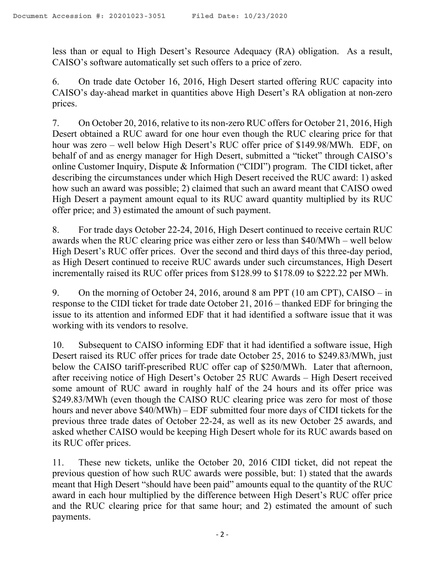less than or equal to High Desert's Resource Adequacy (RA) obligation. As a result, CAISO's software automatically set such offers to a price of zero.

6. On trade date October 16, 2016, High Desert started offering RUC capacity into CAISO's day-ahead market in quantities above High Desert's RA obligation at non-zero prices.

7. On October 20, 2016, relative to its non-zero RUC offers for October 21, 2016, High Desert obtained a RUC award for one hour even though the RUC clearing price for that hour was zero – well below High Desert's RUC offer price of \$149.98/MWh. EDF, on behalf of and as energy manager for High Desert, submitted a "ticket" through CAISO's online Customer Inquiry, Dispute & Information ("CIDI") program. The CIDI ticket, after describing the circumstances under which High Desert received the RUC award: 1) asked how such an award was possible; 2) claimed that such an award meant that CAISO owed High Desert a payment amount equal to its RUC award quantity multiplied by its RUC offer price; and 3) estimated the amount of such payment.

8. For trade days October 22-24, 2016, High Desert continued to receive certain RUC awards when the RUC clearing price was either zero or less than \$40/MWh – well below High Desert's RUC offer prices. Over the second and third days of this three-day period, as High Desert continued to receive RUC awards under such circumstances, High Desert incrementally raised its RUC offer prices from \$128.99 to \$178.09 to \$222.22 per MWh.

9. On the morning of October 24, 2016, around 8 am PPT (10 am CPT), CAISO – in response to the CIDI ticket for trade date October 21, 2016 – thanked EDF for bringing the issue to its attention and informed EDF that it had identified a software issue that it was working with its vendors to resolve.

10. Subsequent to CAISO informing EDF that it had identified a software issue, High Desert raised its RUC offer prices for trade date October 25, 2016 to \$249.83/MWh, just below the CAISO tariff-prescribed RUC offer cap of \$250/MWh. Later that afternoon, after receiving notice of High Desert's October 25 RUC Awards – High Desert received some amount of RUC award in roughly half of the 24 hours and its offer price was \$249.83/MWh (even though the CAISO RUC clearing price was zero for most of those hours and never above \$40/MWh) – EDF submitted four more days of CIDI tickets for the previous three trade dates of October 22-24, as well as its new October 25 awards, and asked whether CAISO would be keeping High Desert whole for its RUC awards based on its RUC offer prices.

11. These new tickets, unlike the October 20, 2016 CIDI ticket, did not repeat the previous question of how such RUC awards were possible, but: 1) stated that the awards meant that High Desert "should have been paid" amounts equal to the quantity of the RUC award in each hour multiplied by the difference between High Desert's RUC offer price and the RUC clearing price for that same hour; and 2) estimated the amount of such payments.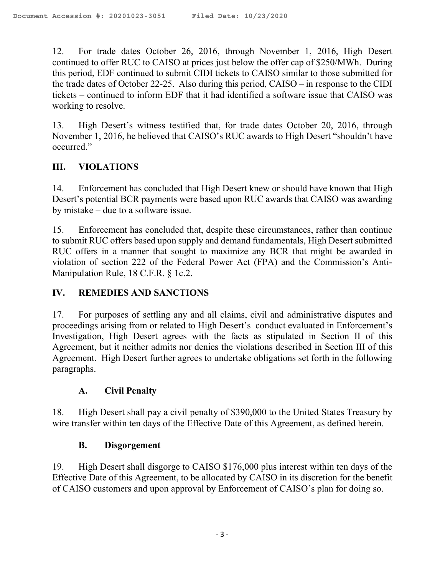12. For trade dates October 26, 2016, through November 1, 2016, High Desert continued to offer RUC to CAISO at prices just below the offer cap of \$250/MWh. During this period, EDF continued to submit CIDI tickets to CAISO similar to those submitted for the trade dates of October 22-25. Also during this period, CAISO – in response to the CIDI tickets – continued to inform EDF that it had identified a software issue that CAISO was working to resolve.

13. High Desert's witness testified that, for trade dates October 20, 2016, through November 1, 2016, he believed that CAISO's RUC awards to High Desert "shouldn't have occurred."

## **III. VIOLATIONS**

14. Enforcement has concluded that High Desert knew or should have known that High Desert's potential BCR payments were based upon RUC awards that CAISO was awarding by mistake – due to a software issue.

15. Enforcement has concluded that, despite these circumstances, rather than continue to submit RUC offers based upon supply and demand fundamentals, High Desert submitted RUC offers in a manner that sought to maximize any BCR that might be awarded in violation of section 222 of the Federal Power Act (FPA) and the Commission's Anti-Manipulation Rule, 18 C.F.R. § 1c.2.

## **IV. REMEDIES AND SANCTIONS**

17. For purposes of settling any and all claims, civil and administrative disputes and proceedings arising from or related to High Desert's conduct evaluated in Enforcement's Investigation, High Desert agrees with the facts as stipulated in Section II of this Agreement, but it neither admits nor denies the violations described in Section III of this Agreement. High Desert further agrees to undertake obligations set forth in the following paragraphs.

## **A. Civil Penalty**

18. High Desert shall pay a civil penalty of \$390,000 to the United States Treasury by wire transfer within ten days of the Effective Date of this Agreement, as defined herein.

## **B. Disgorgement**

19. High Desert shall disgorge to CAISO \$176,000 plus interest within ten days of the Effective Date of this Agreement, to be allocated by CAISO in its discretion for the benefit of CAISO customers and upon approval by Enforcement of CAISO's plan for doing so.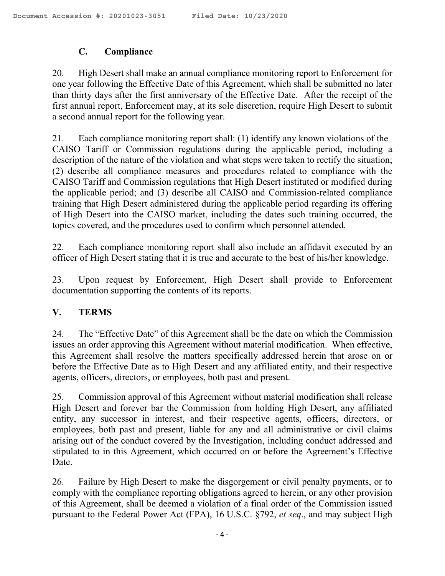# **C. Compliance**

20. High Desert shall make an annual compliance monitoring report to Enforcement for one year following the Effective Date of this Agreement, which shall be submitted no later than thirty days after the first anniversary of the Effective Date. After the receipt of the first annual report, Enforcement may, at its sole discretion, require High Desert to submit a second annual report for the following year.

21. Each compliance monitoring report shall: (1) identify any known violations of the CAISO Tariff or Commission regulations during the applicable period, including a description of the nature of the violation and what steps were taken to rectify the situation; (2) describe all compliance measures and procedures related to compliance with the CAISO Tariff and Commission regulations that High Desert instituted or modified during the applicable period; and (3) describe all CAISO and Commission-related compliance training that High Desert administered during the applicable period regarding its offering of High Desert into the CAISO market, including the dates such training occurred, the topics covered, and the procedures used to confirm which personnel attended.

22. Each compliance monitoring report shall also include an affidavit executed by an officer of High Desert stating that it is true and accurate to the best of his/her knowledge.

23. Upon request by Enforcement, High Desert shall provide to Enforcement documentation supporting the contents of its reports.

# **V. TERMS**

24. The "Effective Date" of this Agreement shall be the date on which the Commission issues an order approving this Agreement without material modification. When effective, this Agreement shall resolve the matters specifically addressed herein that arose on or before the Effective Date as to High Desert and any affiliated entity, and their respective agents, officers, directors, or employees, both past and present.

25. Commission approval of this Agreement without material modification shall release High Desert and forever bar the Commission from holding High Desert, any affiliated entity, any successor in interest, and their respective agents, officers, directors, or employees, both past and present, liable for any and all administrative or civil claims arising out of the conduct covered by the Investigation, including conduct addressed and stipulated to in this Agreement, which occurred on or before the Agreement's Effective Date.

26. Failure by High Desert to make the disgorgement or civil penalty payments, or to comply with the compliance reporting obligations agreed to herein, or any other provision of this Agreement, shall be deemed a violation of a final order of the Commission issued pursuant to the Federal Power Act (FPA), 16 U.S.C. §792, *et seq*., and may subject High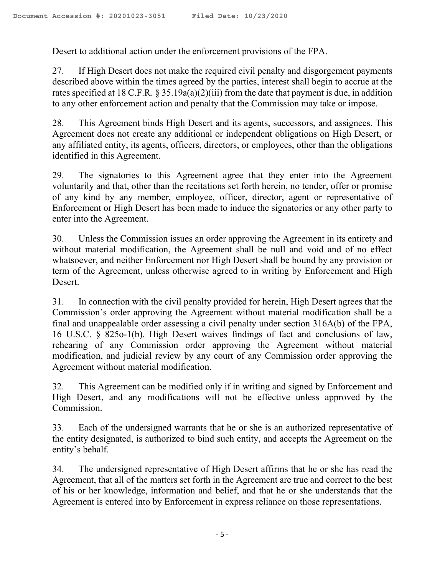Desert to additional action under the enforcement provisions of the FPA.

27. If High Desert does not make the required civil penalty and disgorgement payments described above within the times agreed by the parties, interest shall begin to accrue at the rates specified at 18 C.F.R.  $\S 35.19a(a)(2)(iii)$  from the date that payment is due, in addition to any other enforcement action and penalty that the Commission may take or impose.

28. This Agreement binds High Desert and its agents, successors, and assignees. This Agreement does not create any additional or independent obligations on High Desert, or any affiliated entity, its agents, officers, directors, or employees, other than the obligations identified in this Agreement.

29. The signatories to this Agreement agree that they enter into the Agreement voluntarily and that, other than the recitations set forth herein, no tender, offer or promise of any kind by any member, employee, officer, director, agent or representative of Enforcement or High Desert has been made to induce the signatories or any other party to enter into the Agreement.

30. Unless the Commission issues an order approving the Agreement in its entirety and without material modification, the Agreement shall be null and void and of no effect whatsoever, and neither Enforcement nor High Desert shall be bound by any provision or term of the Agreement, unless otherwise agreed to in writing by Enforcement and High Desert.

31. In connection with the civil penalty provided for herein, High Desert agrees that the Commission's order approving the Agreement without material modification shall be a final and unappealable order assessing a civil penalty under section 316A(b) of the FPA, 16 U.S.C. § 825o-1(b). High Desert waives findings of fact and conclusions of law, rehearing of any Commission order approving the Agreement without material modification, and judicial review by any court of any Commission order approving the Agreement without material modification.

32. This Agreement can be modified only if in writing and signed by Enforcement and High Desert, and any modifications will not be effective unless approved by the Commission.

33. Each of the undersigned warrants that he or she is an authorized representative of the entity designated, is authorized to bind such entity, and accepts the Agreement on the entity's behalf.

34. The undersigned representative of High Desert affirms that he or she has read the Agreement, that all of the matters set forth in the Agreement are true and correct to the best of his or her knowledge, information and belief, and that he or she understands that the Agreement is entered into by Enforcement in express reliance on those representations.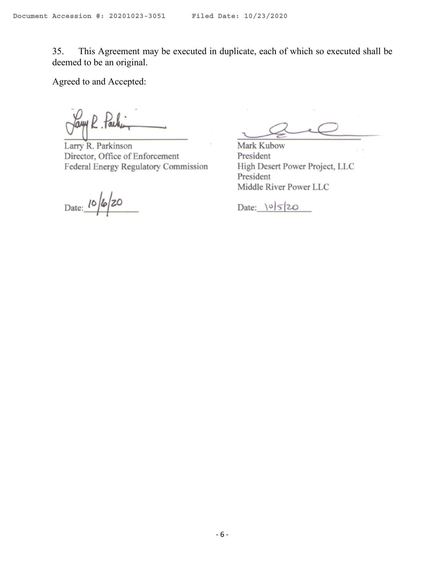35. This Agreement may be executed in duplicate, each of which so executed shall be deemed to be an original.

Agreed to and Accepted:

Jam R  $1$ al

Larry R. Parkinson Director, Office of Enforcement Federal Energy Regulatory Commission

Date: 10/6/20

Mark Kubow President High Desert Power Project, LLC President Middle River Power LLC

Date:  $|0|5|20$